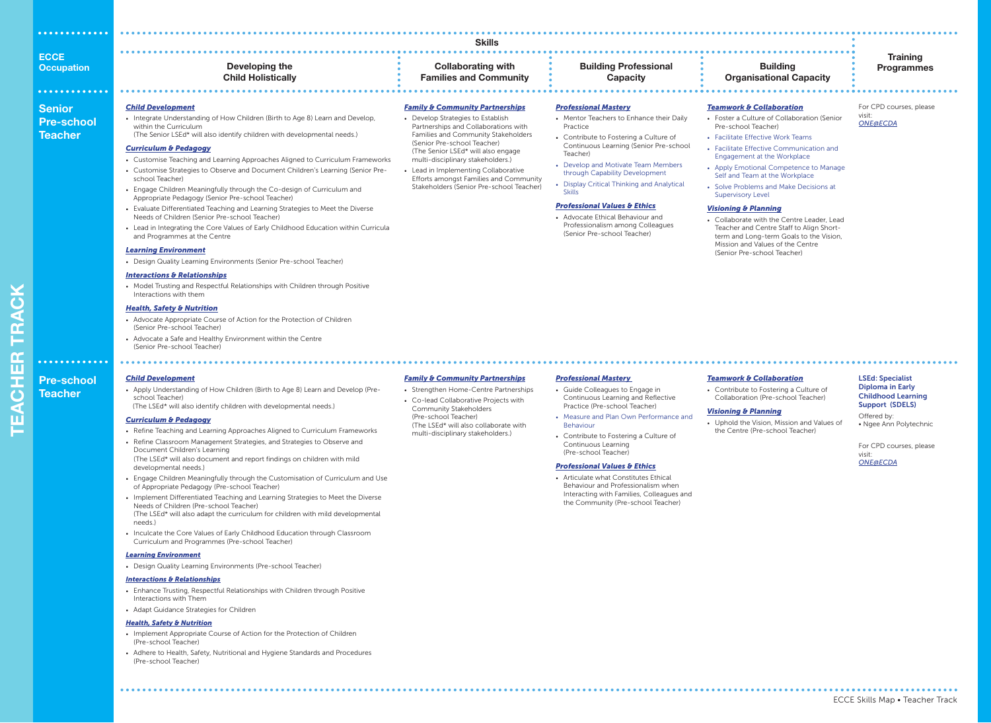|                                        | <b>Skills</b>                                                                                                                                                                                                                                                                                                                                                                                                                                                                                                                                                                                                                                                                                                                                                                                                                                                                                                                                                                                                                                                                                                                                                                                                                                                                                                                               |                                                                                                                                                                                                                                                                                                                                                                                                      |                                                                                                                                                                                                                                                                                                                                                                                                                                                                                                           |                                                                                                                                                                                                                                                                                                                                                                                                                                                                                                                                                                                                                        |                                                                                                                                                                                                            |  |  |  |
|----------------------------------------|---------------------------------------------------------------------------------------------------------------------------------------------------------------------------------------------------------------------------------------------------------------------------------------------------------------------------------------------------------------------------------------------------------------------------------------------------------------------------------------------------------------------------------------------------------------------------------------------------------------------------------------------------------------------------------------------------------------------------------------------------------------------------------------------------------------------------------------------------------------------------------------------------------------------------------------------------------------------------------------------------------------------------------------------------------------------------------------------------------------------------------------------------------------------------------------------------------------------------------------------------------------------------------------------------------------------------------------------|------------------------------------------------------------------------------------------------------------------------------------------------------------------------------------------------------------------------------------------------------------------------------------------------------------------------------------------------------------------------------------------------------|-----------------------------------------------------------------------------------------------------------------------------------------------------------------------------------------------------------------------------------------------------------------------------------------------------------------------------------------------------------------------------------------------------------------------------------------------------------------------------------------------------------|------------------------------------------------------------------------------------------------------------------------------------------------------------------------------------------------------------------------------------------------------------------------------------------------------------------------------------------------------------------------------------------------------------------------------------------------------------------------------------------------------------------------------------------------------------------------------------------------------------------------|------------------------------------------------------------------------------------------------------------------------------------------------------------------------------------------------------------|--|--|--|
| <b>ECCE</b><br><b>Occupation</b>       | Developing the<br><b>Child Holistically</b>                                                                                                                                                                                                                                                                                                                                                                                                                                                                                                                                                                                                                                                                                                                                                                                                                                                                                                                                                                                                                                                                                                                                                                                                                                                                                                 | <b>Collaborating with</b><br><b>Families and Community</b>                                                                                                                                                                                                                                                                                                                                           | <b>Building Professional</b><br><b>Capacity</b>                                                                                                                                                                                                                                                                                                                                                                                                                                                           | <b>Building</b><br><b>Organisational Capacity</b>                                                                                                                                                                                                                                                                                                                                                                                                                                                                                                                                                                      | <b>Training</b><br><b>Programmes</b>                                                                                                                                                                       |  |  |  |
| Senior<br><b>Pre-school</b><br>Teacher | <b>Child Development</b><br>• Integrate Understanding of How Children (Birth to Age 8) Learn and Develop,<br>within the Curriculum<br>(The Senior LSEd* will also identify children with developmental needs.)<br><b>Curriculum &amp; Pedagogy</b><br>• Customise Teaching and Learning Approaches Aligned to Curriculum Frameworks<br>• Customise Strategies to Observe and Document Children's Learning (Senior Pre-<br>school Teacher)<br>• Engage Children Meaningfully through the Co-design of Curriculum and<br>Appropriate Pedagogy (Senior Pre-school Teacher)<br>• Evaluate Differentiated Teaching and Learning Strategies to Meet the Diverse<br>Needs of Children (Senior Pre-school Teacher)<br>• Lead in Integrating the Core Values of Early Childhood Education within Curricula<br>and Programmes at the Centre<br><b>Learning Environment</b><br>• Design Quality Learning Environments (Senior Pre-school Teacher)<br><b>Interactions &amp; Relationships</b><br>• Model Trusting and Respectful Relationships with Children through Positive<br>Interactions with them<br><b>Health, Safety &amp; Nutrition</b><br>• Advocate Appropriate Course of Action for the Protection of Children<br>(Senior Pre-school Teacher)<br>• Advocate a Safe and Healthy Environment within the Centre<br>(Senior Pre-school Teacher) | <b>Family &amp; Community Partnerships</b><br>• Develop Strategies to Establish<br>Partnerships and Collaborations with<br>Families and Community Stakeholders<br>(Senior Pre-school Teacher)<br>(The Senior LSEd* will also engage<br>multi-disciplinary stakeholders.)<br>Lead in Implementing Collaborative<br>Efforts amongst Families and Community<br>Stakeholders (Senior Pre-school Teacher) | <b>Professional Mastery</b><br>• Mentor Teachers to Enhance their Daily<br>Practice<br>• Contribute to Fostering a Culture of<br>Continuous Learning (Senior Pre-school<br>Teacher)<br>• Develop and Motivate Team Members<br>through Capability Development<br>• Display Critical Thinking and Analytical<br><b>Skills</b><br><b>Professional Values &amp; Ethics</b><br>• Advocate Ethical Behaviour and<br>Professionalism among Colleagues<br>(Senior Pre-school Teacher)                             | <b>Teamwork &amp; Collaboration</b><br>• Foster a Culture of Collaboration (Senior<br>Pre-school Teacher)<br>• Facilitate Effective Work Teams<br>• Facilitate Effective Communication and<br>Engagement at the Workplace<br>• Apply Emotional Competence to Manage<br>Self and Team at the Workplace<br>• Solve Problems and Make Decisions at<br><b>Supervisory Level</b><br><b>Visioning &amp; Planning</b><br>• Collaborate with the Centre Leader, Lead<br>Teacher and Centre Staff to Align Short-<br>term and Long-term Goals to the Vision,<br>Mission and Values of the Centre<br>(Senior Pre-school Teacher) | For CPD courses, please<br>visit:<br><b>ONE@ECDA</b>                                                                                                                                                       |  |  |  |
| <b>Pre-school</b><br>Teacher           | <b>Child Development</b><br>• Apply Understanding of How Children (Birth to Age 8) Learn and Develop (Pre-<br>school Teacher)<br>(The LSEd* will also identify children with developmental needs.)<br><b>Curriculum &amp; Pedagogy</b><br>• Refine Teaching and Learning Approaches Aligned to Curriculum Frameworks<br>• Refine Classroom Management Strategies, and Strategies to Observe and<br>Document Children's Learning<br>(The LSEd* will also document and report findings on children with mild<br>developmental needs.)<br>• Engage Children Meaningfully through the Customisation of Curriculum and Use<br>of Appropriate Pedagogy (Pre-school Teacher)<br>• Implement Differentiated Teaching and Learning Strategies to Meet the Diverse<br>Needs of Children (Pre-school Teacher)<br>(The LSEd* will also adapt the curriculum for children with mild developmental<br>needs.)                                                                                                                                                                                                                                                                                                                                                                                                                                             | <b>Family &amp; Community Partnerships</b><br>• Strengthen Home-Centre Partnerships<br>• Co-lead Collaborative Projects with<br><b>Community Stakeholders</b><br>(Pre-school Teacher)<br>(The LSEd* will also collaborate with<br>multi-disciplinary stakeholders.)                                                                                                                                  | <b>Professional Mastery</b><br>• Guide Colleagues to Engage in<br>Continuous Learning and Reflective<br>Practice (Pre-school Teacher)<br>• Measure and Plan Own Performance and<br><b>Behaviour</b><br>• Contribute to Fostering a Culture of<br>Continuous Learning<br>(Pre-school Teacher)<br><b>Professional Values &amp; Ethics</b><br>• Articulate what Constitutes Ethical<br>Behaviour and Professionalism when<br>Interacting with Families, Colleagues and<br>the Community (Pre-school Teacher) | <b>Teamwork &amp; Collaboration</b><br>• Contribute to Fostering a Culture of<br>Collaboration (Pre-school Teacher)<br><b>Visioning &amp; Planning</b><br>• Uphold the Vision, Mission and Values of<br>the Centre (Pre-school Teacher)                                                                                                                                                                                                                                                                                                                                                                                | <b>LSEd: Specialist</b><br><b>Diploma in Early</b><br><b>Childhood Learning</b><br><b>Support (SDELS)</b><br>Offered by:<br>• Ngee Ann Polytechnic<br>For CPD courses, please<br>visit:<br><b>ONEGECDA</b> |  |  |  |

## *Learning Environment*

• Design Quality Learning Environments (Pre-school Teacher)

## *Interactions & Relationships*

- Enhance Trusting, Respectful Relationships with Children through Positive Interactions with Them
- 

## *Health, Safety & Nutrition*

 $\bullet$   $\bullet$   $\bullet$ 

- (Pre-school Teacher)
- Adhere to Health, Safety, Nutritional and Hygiene Standards and Procedures (Pre-school Teacher)

## ECCE Skills Map • Teacher Track

...................

# **ECCE**

# **Senior Teacher**

# **TEACHER TRACK TEACHER TRACK**

• Inculcate the Core Values of Early Childhood Education through Classroom Curriculum and Programmes (Pre-school Teacher)

- 
- Adapt Guidance Strategies for Children

• Implement Appropriate Course of Action for the Protection of Children